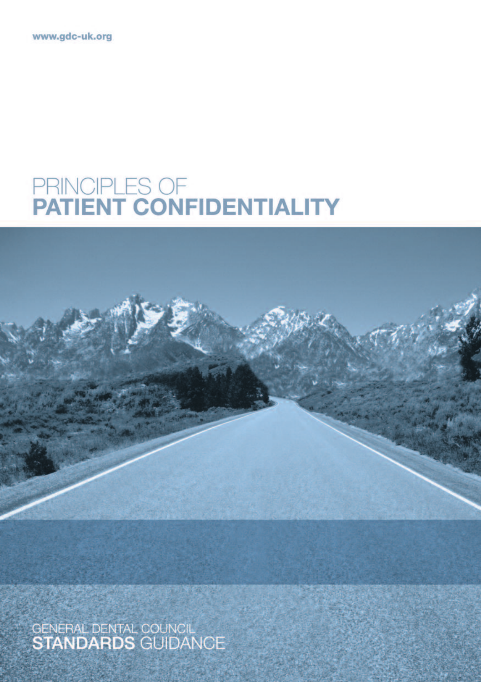www.gdc-uk.org

# PRINCIPLES OF<br>PATIENT CONFIDENTIALITY



GENERAL DENTAL COUNCIL<br>STANDARDS GUIDANCE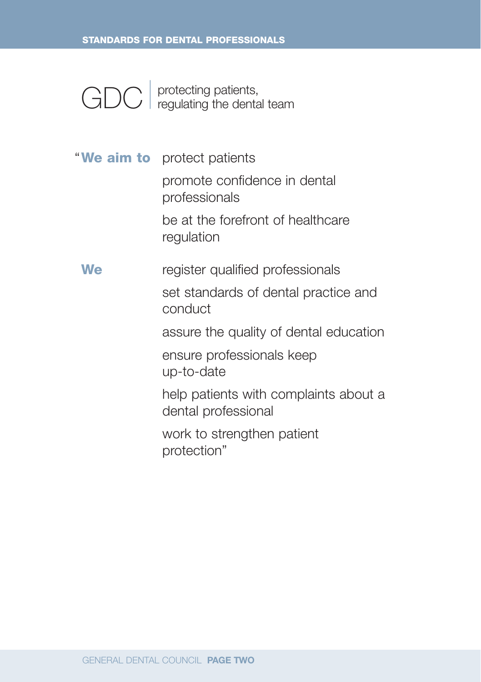GDC | protecting patients, regulating the dental team

**We aim to** protect patients "promote confidence in dental professionals be at the forefront of healthcare regulation **We** register qualified professionals set standards of dental practice and conduct assure the quality of dental education ensure professionals keep up-to-date help patients with complaints about a dental professional work to strengthen patient protection"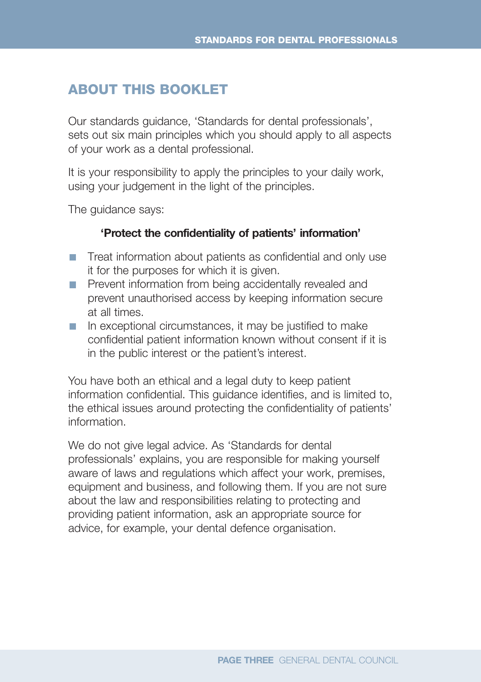### **ABOUT THIS BOOKLET**

Our standards guidance, 'Standards for dental professionals', sets out six main principles which you should apply to all aspects of your work as a dental professional.

It is your responsibility to apply the principles to your daily work, using your judgement in the light of the principles.

The guidance says:

#### **'Protect the confidentiality of patients' information'**

- **T** Treat information about patients as confidential and only use it for the purposes for which it is given.
- **Prevent information from being accidentally revealed and** prevent unauthorised access by keeping information secure at all times.
- $\blacksquare$  In exceptional circumstances, it may be justified to make confidential patient information known without consent if it is in the public interest or the patient's interest.

You have both an ethical and a legal duty to keep patient information confidential. This guidance identifies, and is limited to, the ethical issues around protecting the confidentiality of patients' information.

We do not give legal advice. As 'Standards for dental professionals' explains, you are responsible for making yourself aware of laws and regulations which affect your work, premises, equipment and business, and following them. If you are not sure about the law and responsibilities relating to protecting and providing patient information, ask an appropriate source for advice, for example, your dental defence organisation.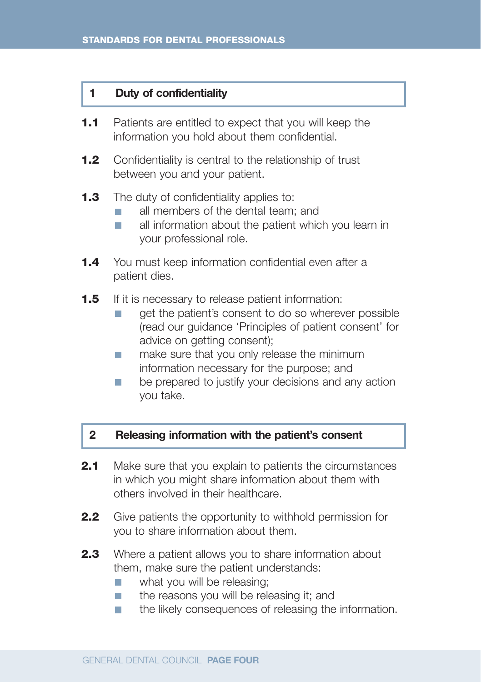#### **1 Duty of confidentiality**

- **1.1** Patients are entitled to expect that you will keep the information you hold about them confidential.
- **1.2** Confidentiality is central to the relationship of trust between you and your patient.
- **1.3** The duty of confidentiality applies to:
	- all members of the dental team; and m,
	- all information about the patient which you learn in  $\overline{\phantom{a}}$ your professional role.
- **1.4** You must keep information confidential even after a patient dies.
- **1.5** If it is necessary to release patient information:
	- get the patient's consent to do so wherever possible  $\overline{\phantom{a}}$ (read our guidance 'Principles of patient consent' for advice on getting consent);
	- make sure that you only release the minimum  $\mathcal{L}_{\mathcal{A}}$ information necessary for the purpose; and
	- be prepared to justify your decisions and any action  $\overline{\phantom{a}}$ you take.

#### **2 Releasing information with the patient's consent**

- **2.1** Make sure that you explain to patients the circumstances in which you might share information about them with others involved in their healthcare.
- **2.2** Give patients the opportunity to withhold permission for you to share information about them.
- **2.3** Where a patient allows you to share information about them, make sure the patient understands:
	- what you will be releasing;  $\blacksquare$
	- $\overline{\phantom{a}}$ the reasons you will be releasing it; and
	- the likely consequences of releasing the information.  $\overline{\phantom{a}}$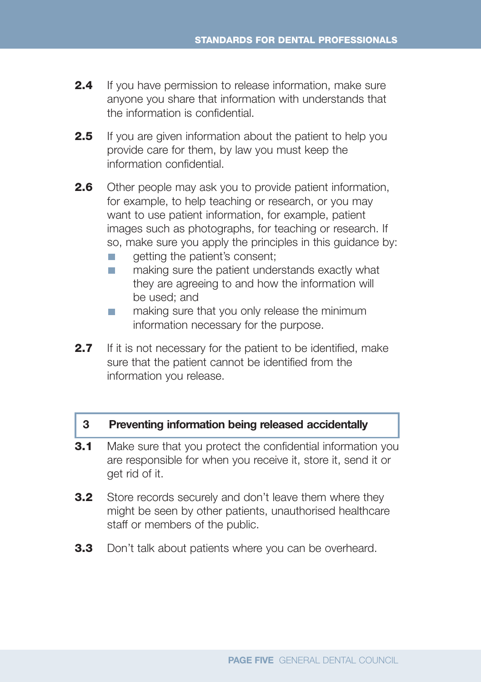- **2.4** If you have permission to release information, make sure anyone you share that information with understands that the information is confidential.
- **2.5** If you are given information about the patient to help you provide care for them, by law you must keep the information confidential.
- **2.6** Other people may ask you to provide patient information, for example, to help teaching or research, or you may want to use patient information, for example, patient images such as photographs, for teaching or research. If so, make sure you apply the principles in this guidance by:
	- getting the patient's consent; П
	- making sure the patient understands exactly what  $\overline{\phantom{a}}$ they are agreeing to and how the information will be used; and
	- making sure that you only release the minimum m. information necessary for the purpose.
- **2.7** If it is not necessary for the patient to be identified, make sure that the patient cannot be identified from the information you release.

#### **3 Preventing information being released accidentally**

- **3.1** Make sure that you protect the confidential information you are responsible for when you receive it, store it, send it or get rid of it.
- **3.2** Store records securely and don't leave them where they might be seen by other patients, unauthorised healthcare staff or members of the public.
- **3.3** Don't talk about patients where you can be overheard.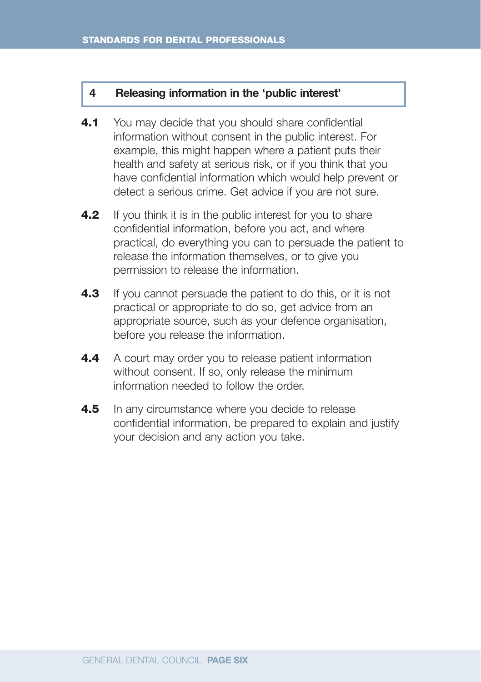#### **4 Releasing information in the 'public interest'**

- **4.1** You may decide that you should share confidential information without consent in the public interest. For example, this might happen where a patient puts their health and safety at serious risk, or if you think that you have confidential information which would help prevent or detect a serious crime. Get advice if you are not sure.
- **4.2** If you think it is in the public interest for you to share confidential information, before you act, and where practical, do everything you can to persuade the patient to release the information themselves, or to give you permission to release the information.
- **4.3** If you cannot persuade the patient to do this, or it is not practical or appropriate to do so, get advice from an appropriate source, such as your defence organisation, before you release the information.
- **4.4** A court may order you to release patient information without consent. If so, only release the minimum information needed to follow the order.
- **4.5** In any circumstance where you decide to release confidential information, be prepared to explain and justify your decision and any action you take.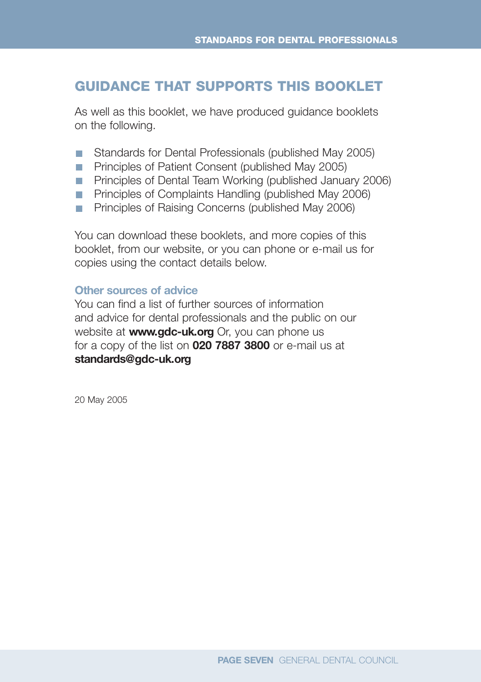## **GUIDANCE THAT SUPPORTS THIS BOOKLET**

As well as this booklet, we have produced guidance booklets on the following.

- Standards for Dental Professionals (published May 2005)
- **Principles of Patient Consent (published May 2005)**
- **Principles of Dental Team Working (published January 2006)**
- **Principles of Complaints Handling (published May 2006)**
- **Principles of Raising Concerns (published May 2006)**

You can download these booklets, and more copies of this booklet, from our website, or you can phone or e-mail us for copies using the contact details below.

#### **Other sources of advice**

You can find a list of further sources of information and advice for dental professionals and the public on our website at **www.gdc-uk.org** Or, you can phone us for a copy of the list on **020 7887 3800** or e-mail us at **standards@gdc-uk.org**

20 May 2005